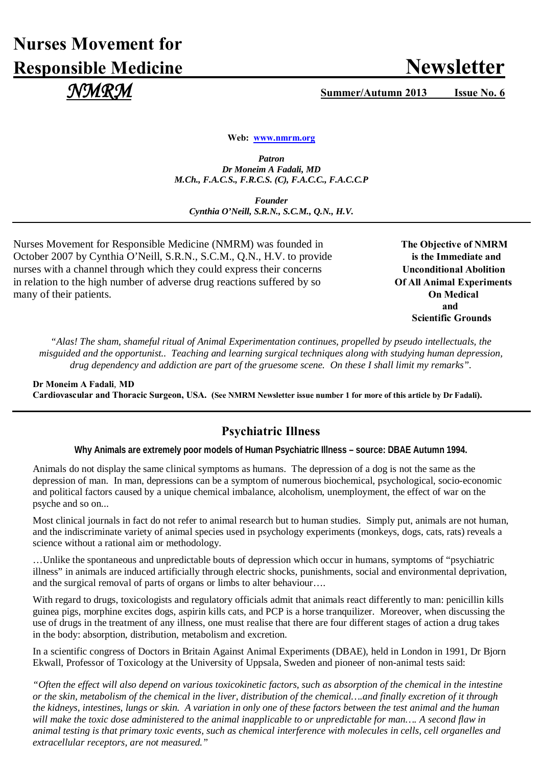# **Nurses Movement for Responsible Medicine Newsletter**

 *NMRM* **Summer/Autumn 2013 Issue No. 6**

**Web: [www.nmrm.org](http://www.nmrm.org/)**

*Patron Dr Moneim A Fadali, MD M.Ch., F.A.C.S., F.R.C.S. (C), F.A.C.C., F.A.C.C.P*

*Founder Cynthia O'Neill, S.R.N., S.C.M., Q.N., H.V.*

Nurses Movement for Responsible Medicine (NMRM) was founded in The Objective of NMRM October 2007 by Cynthia O'Neill, S.R.N., S.C.M., Q.N., H.V. to provide **is the Immediate and** nurses with a channel through which they could express their concerns Unconditional Abolition in relation to the high number of adverse drug reactions suffered by so **Of All Animal Experiments** many of their patients. **On Medical**

 **and**  **Scientific Grounds**

*"Alas! The sham, shameful ritual of Animal Experimentation continues, propelled by pseudo intellectuals, the misguided and the opportunist.. Teaching and learning surgical techniques along with studying human depression, drug dependency and addiction are part of the gruesome scene. On these I shall limit my remarks".* 

**Dr Moneim A Fadali**, **MD Cardiovascular and Thoracic Surgeon, USA. (See NMRM Newsletter issue number 1 for more of this article by Dr Fadali).** 

# **Psychiatric Illness**

**Why Animals are extremely poor models of Human Psychiatric Illness – source: DBAE Autumn 1994.**

Animals do not display the same clinical symptoms as humans. The depression of a dog is not the same as the depression of man. In man, depressions can be a symptom of numerous biochemical, psychological, socio-economic and political factors caused by a unique chemical imbalance, alcoholism, unemployment, the effect of war on the psyche and so on...

Most clinical journals in fact do not refer to animal research but to human studies. Simply put, animals are not human, and the indiscriminate variety of animal species used in psychology experiments (monkeys, dogs, cats, rats) reveals a science without a rational aim or methodology.

…Unlike the spontaneous and unpredictable bouts of depression which occur in humans, symptoms of "psychiatric illness" in animals are induced artificially through electric shocks, punishments, social and environmental deprivation, and the surgical removal of parts of organs or limbs to alter behaviour….

With regard to drugs, toxicologists and regulatory officials admit that animals react differently to man: penicillin kills guinea pigs, morphine excites dogs, aspirin kills cats, and PCP is a horse tranquilizer. Moreover, when discussing the use of drugs in the treatment of any illness, one must realise that there are four different stages of action a drug takes in the body: absorption, distribution, metabolism and excretion.

In a scientific congress of Doctors in Britain Against Animal Experiments (DBAE), held in London in 1991, Dr Bjorn Ekwall, Professor of Toxicology at the University of Uppsala, Sweden and pioneer of non-animal tests said:

*"Often the effect will also depend on various toxicokinetic factors, such as absorption of the chemical in the intestine or the skin, metabolism of the chemical in the liver, distribution of the chemical….and finally excretion of it through the kidneys, intestines, lungs or skin. A variation in only one of these factors between the test animal and the human*  will make the toxic dose administered to the animal inapplicable to or unpredictable for man.... A second flaw in *animal testing is that primary toxic events, such as chemical interference with molecules in cells, cell organelles and extracellular receptors, are not measured."*